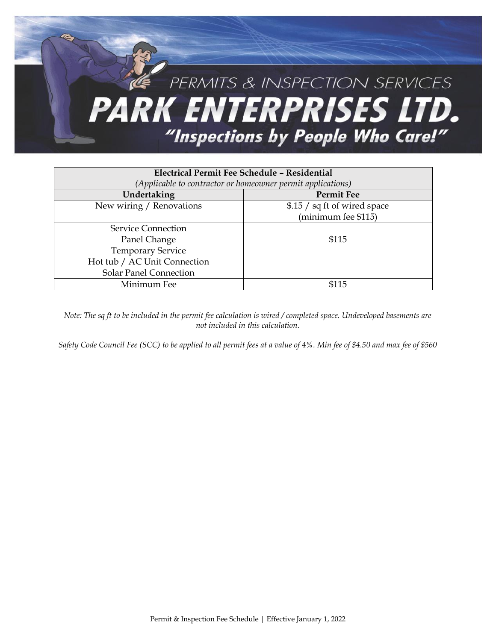

| Electrical Permit Fee Schedule - Residential                |                              |
|-------------------------------------------------------------|------------------------------|
| (Applicable to contractor or homeowner permit applications) |                              |
| Undertaking                                                 | <b>Permit Fee</b>            |
| New wiring / Renovations                                    | \$.15 / sq ft of wired space |
|                                                             | (minimum fee \$115)          |
| <b>Service Connection</b>                                   |                              |
| Panel Change                                                | \$115                        |
| <b>Temporary Service</b>                                    |                              |
| Hot tub / AC Unit Connection                                |                              |
| <b>Solar Panel Connection</b>                               |                              |
| Minimum Fee                                                 | \$115                        |

*Note: The sq ft to be included in the permit fee calculation is wired / completed space. Undeveloped basements are not included in this calculation.* 

*Safety Code Council Fee (SCC) to be applied to all permit fees at a value of 4%. Min fee of \$4.50 and max fee of \$560*